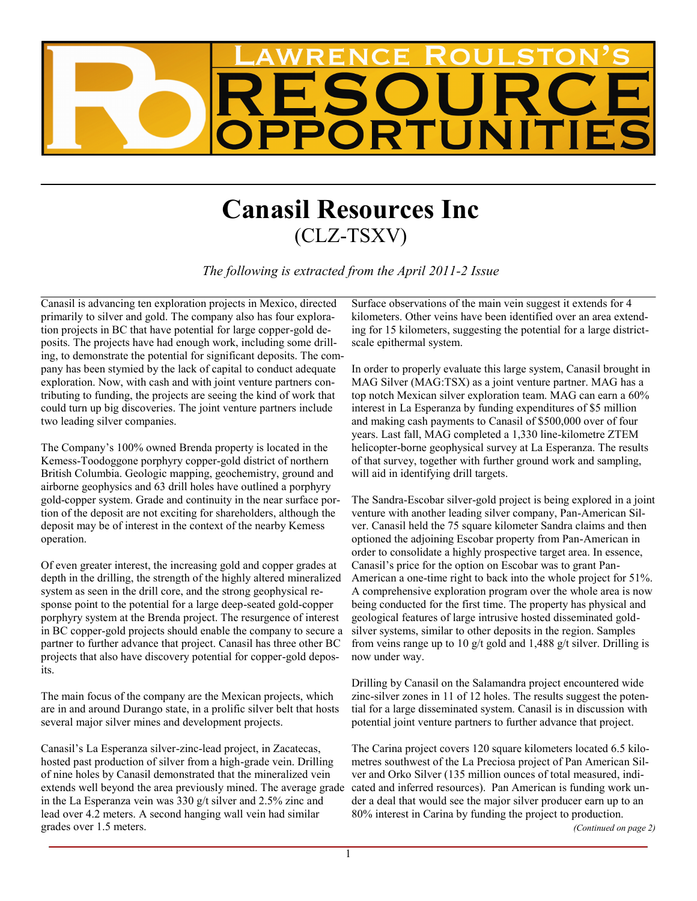

## **Canasil Resources Inc** (CLZ-TSXV)

*The following is extracted from the April 2011-2 Issue*

Canasil is advancing ten exploration projects in Mexico, directed primarily to silver and gold. The company also has four exploration projects in BC that have potential for large copper-gold deposits. The projects have had enough work, including some drilling, to demonstrate the potential for significant deposits. The company has been stymied by the lack of capital to conduct adequate exploration. Now, with cash and with joint venture partners contributing to funding, the projects are seeing the kind of work that could turn up big discoveries. The joint venture partners include two leading silver companies.

The Company's 100% owned Brenda property is located in the Kemess-Toodoggone porphyry copper-gold district of northern British Columbia. Geologic mapping, geochemistry, ground and airborne geophysics and 63 drill holes have outlined a porphyry gold-copper system. Grade and continuity in the near surface portion of the deposit are not exciting for shareholders, although the deposit may be of interest in the context of the nearby Kemess operation.

Of even greater interest, the increasing gold and copper grades at depth in the drilling, the strength of the highly altered mineralized system as seen in the drill core, and the strong geophysical response point to the potential for a large deep-seated gold-copper porphyry system at the Brenda project. The resurgence of interest in BC copper-gold projects should enable the company to secure a partner to further advance that project. Canasil has three other BC projects that also have discovery potential for copper-gold deposits.

The main focus of the company are the Mexican projects, which are in and around Durango state, in a prolific silver belt that hosts several major silver mines and development projects.

Canasil's La Esperanza silver-zinc-lead project, in Zacatecas, hosted past production of silver from a high-grade vein. Drilling of nine holes by Canasil demonstrated that the mineralized vein extends well beyond the area previously mined. The average grade in the La Esperanza vein was 330 g/t silver and 2.5% zinc and lead over 4.2 meters. A second hanging wall vein had similar grades over 1.5 meters.

Surface observations of the main vein suggest it extends for 4 kilometers. Other veins have been identified over an area extending for 15 kilometers, suggesting the potential for a large districtscale epithermal system.

In order to properly evaluate this large system, Canasil brought in MAG Silver (MAG:TSX) as a joint venture partner. MAG has a top notch Mexican silver exploration team. MAG can earn a 60% interest in La Esperanza by funding expenditures of \$5 million and making cash payments to Canasil of \$500,000 over of four years. Last fall, MAG completed a 1,330 line-kilometre ZTEM helicopter-borne geophysical survey at La Esperanza. The results of that survey, together with further ground work and sampling, will aid in identifying drill targets.

The Sandra-Escobar silver-gold project is being explored in a joint venture with another leading silver company, Pan-American Silver. Canasil held the 75 square kilometer Sandra claims and then optioned the adjoining Escobar property from Pan-American in order to consolidate a highly prospective target area. In essence, Canasil's price for the option on Escobar was to grant Pan-American a one-time right to back into the whole project for 51%. A comprehensive exploration program over the whole area is now being conducted for the first time. The property has physical and geological features of large intrusive hosted disseminated goldsilver systems, similar to other deposits in the region. Samples from veins range up to 10 g/t gold and 1,488 g/t silver. Drilling is now under way.

Drilling by Canasil on the Salamandra project encountered wide zinc-silver zones in 11 of 12 holes. The results suggest the potential for a large disseminated system. Canasil is in discussion with potential joint venture partners to further advance that project.

The Carina project covers 120 square kilometers located 6.5 kilometres southwest of the La Preciosa project of Pan American Silver and Orko Silver (135 million ounces of total measured, indicated and inferred resources). Pan American is funding work under a deal that would see the major silver producer earn up to an 80% interest in Carina by funding the project to production.